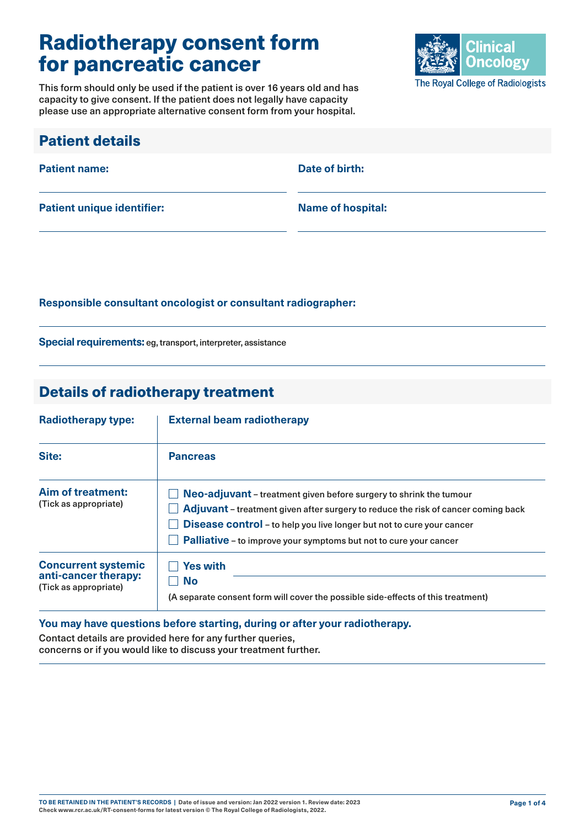# Radiotherapy consent form for pancreatic cancer

This form should only be used if the patient is over 16 years old and has capacity to give consent. If the patient does not legally have capacity please use an appropriate alternative consent form from your hospital.



| <b>Patient details</b>            |                          |
|-----------------------------------|--------------------------|
| <b>Patient name:</b>              | Date of birth:           |
| <b>Patient unique identifier:</b> | <b>Name of hospital:</b> |

#### **Responsible consultant oncologist or consultant radiographer:**

**Special requirements:** eg, transport, interpreter, assistance

### Details of radiotherapy treatment

| <b>Radiotherapy type:</b>                                                   | <b>External beam radiotherapy</b><br><b>Pancreas</b>                                                                                                                                                                                                                                                                |  |  |
|-----------------------------------------------------------------------------|---------------------------------------------------------------------------------------------------------------------------------------------------------------------------------------------------------------------------------------------------------------------------------------------------------------------|--|--|
| Site:                                                                       |                                                                                                                                                                                                                                                                                                                     |  |  |
| Aim of treatment:<br>(Tick as appropriate)                                  | Neo-adjuvant - treatment given before surgery to shrink the tumour<br><b>Adjuvant</b> – treatment given after surgery to reduce the risk of cancer coming back<br>Disease control - to help you live longer but not to cure your cancer<br><b>Palliative</b> – to improve your symptoms but not to cure your cancer |  |  |
| <b>Concurrent systemic</b><br>anti-cancer therapy:<br>(Tick as appropriate) | <b>Yes with</b><br>No<br>(A separate consent form will cover the possible side-effects of this treatment)                                                                                                                                                                                                           |  |  |

#### **You may have questions before starting, during or after your radiotherapy.**

Contact details are provided here for any further queries, concerns or if you would like to discuss your treatment further.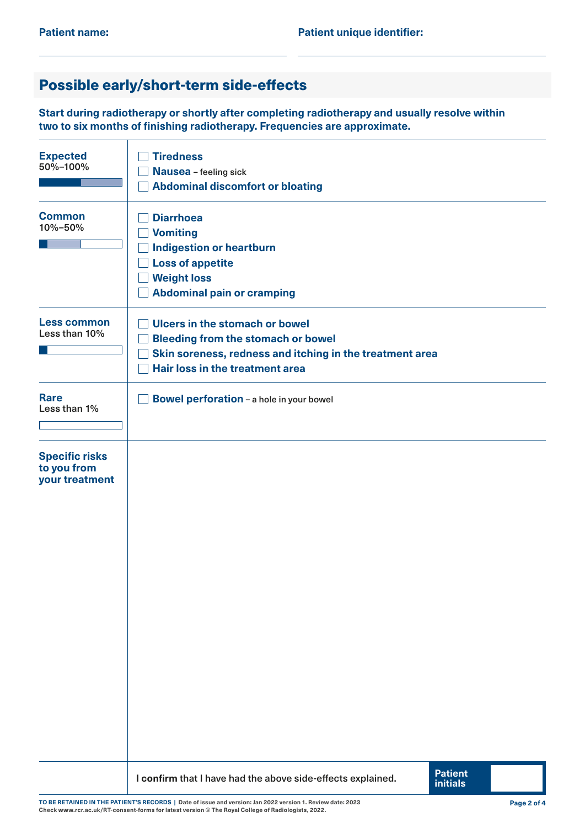## Possible early/short-term side-effects

**Start during radiotherapy or shortly after completing radiotherapy and usually resolve within two to six months of finishing radiotherapy. Frequencies are approximate.**

| <b>Expected</b><br>50%-100%                            | <b>Tiredness</b><br>Nausea - feeling sick<br><b>Abdominal discomfort or bloating</b>                                                                                              |
|--------------------------------------------------------|-----------------------------------------------------------------------------------------------------------------------------------------------------------------------------------|
| <b>Common</b><br>10%-50%                               | <b>Diarrhoea</b><br><b>Vomiting</b><br><b>Indigestion or heartburn</b><br><b>Loss of appetite</b><br><b>Weight loss</b><br><b>Abdominal pain or cramping</b>                      |
| <b>Less common</b><br>Less than 10%                    | <b>Ulcers in the stomach or bowel</b><br><b>Bleeding from the stomach or bowel</b><br>Skin soreness, redness and itching in the treatment area<br>Hair loss in the treatment area |
| <b>Rare</b><br>Less than 1%                            | <b>Bowel perforation - a hole in your bowel</b>                                                                                                                                   |
| <b>Specific risks</b><br>to you from<br>your treatment |                                                                                                                                                                                   |
|                                                        | <b>Patient</b><br>I confirm that I have had the above side-effects explained.<br><b>initials</b>                                                                                  |

**TO BE RETAINED IN THE PATIENT'S RECORDS | Date of issue and version: Jan 2022 version 1. Review date: 2023 Check [www.rcr.ac.uk/RT-consent-forms](http://www.rcr.ac.uk/RT-consent-forms) for latest version © The Royal College of Radiologists, 2022.**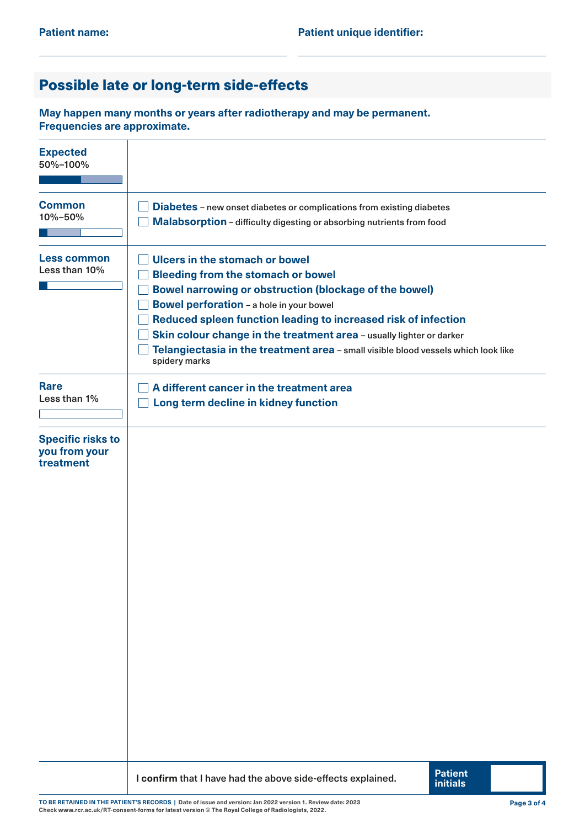## Possible late or long-term side-effects

**May happen many months or years after radiotherapy and may be permanent. Frequencies are approximate.**

| <b>Expected</b><br>50%-100%                            |                                                                                                                                                                                                                                                                                                                                                                                                                                                  |  |  |  |  |
|--------------------------------------------------------|--------------------------------------------------------------------------------------------------------------------------------------------------------------------------------------------------------------------------------------------------------------------------------------------------------------------------------------------------------------------------------------------------------------------------------------------------|--|--|--|--|
| <b>Common</b><br>10%-50%                               | Diabetes - new onset diabetes or complications from existing diabetes<br>Malabsorption - difficulty digesting or absorbing nutrients from food                                                                                                                                                                                                                                                                                                   |  |  |  |  |
| <b>Less common</b><br>Less than 10%                    | Ulcers in the stomach or bowel<br><b>Bleeding from the stomach or bowel</b><br><b>Bowel narrowing or obstruction (blockage of the bowel)</b><br><b>Bowel perforation - a hole in your bowel</b><br>Reduced spleen function leading to increased risk of infection<br>Skin colour change in the treatment area - usually lighter or darker<br>Telangiectasia in the treatment area - small visible blood vessels which look like<br>spidery marks |  |  |  |  |
| <b>Rare</b><br>Less than 1%                            | A different cancer in the treatment area<br>Long term decline in kidney function                                                                                                                                                                                                                                                                                                                                                                 |  |  |  |  |
| <b>Specific risks to</b><br>you from your<br>treatment |                                                                                                                                                                                                                                                                                                                                                                                                                                                  |  |  |  |  |
|                                                        | <b>Patient</b><br>I confirm that I have had the above side-effects explained.<br><b>initials</b>                                                                                                                                                                                                                                                                                                                                                 |  |  |  |  |

**TO BE RETAINED IN THE PATIENT'S RECORDS | Date of issue and version: Jan 2022 version 1. Review date: 2023 Check [www.rcr.ac.uk/RT-consent-forms](http://www.rcr.ac.uk/RT-consent-forms) for latest version © The Royal College of Radiologists, 2022.**